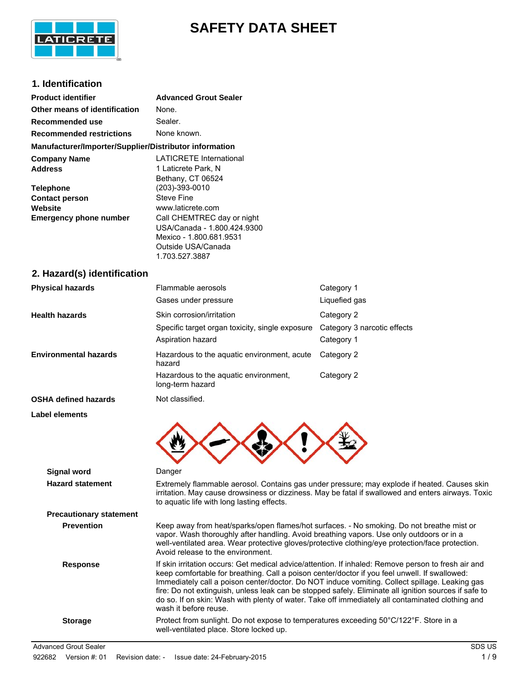

# **SAFETY DATA SHEET**

### **1. Identification**

| <b>Product identifier</b>                                                             | <b>Advanced Grout Sealer</b>                                                                                                                                                                                                                                                                                                                                                                                                                                                                                                                 |                                                                                                                                                                                               |  |
|---------------------------------------------------------------------------------------|----------------------------------------------------------------------------------------------------------------------------------------------------------------------------------------------------------------------------------------------------------------------------------------------------------------------------------------------------------------------------------------------------------------------------------------------------------------------------------------------------------------------------------------------|-----------------------------------------------------------------------------------------------------------------------------------------------------------------------------------------------|--|
| Other means of identification                                                         | None.                                                                                                                                                                                                                                                                                                                                                                                                                                                                                                                                        |                                                                                                                                                                                               |  |
| Recommended use                                                                       | Sealer.                                                                                                                                                                                                                                                                                                                                                                                                                                                                                                                                      |                                                                                                                                                                                               |  |
| <b>Recommended restrictions</b>                                                       | None known.                                                                                                                                                                                                                                                                                                                                                                                                                                                                                                                                  |                                                                                                                                                                                               |  |
| Manufacturer/Importer/Supplier/Distributor information                                |                                                                                                                                                                                                                                                                                                                                                                                                                                                                                                                                              |                                                                                                                                                                                               |  |
| <b>Company Name</b><br><b>Address</b>                                                 | <b>LATICRETE International</b><br>1 Laticrete Park, N<br>Bethany, CT 06524                                                                                                                                                                                                                                                                                                                                                                                                                                                                   |                                                                                                                                                                                               |  |
| <b>Telephone</b><br><b>Contact person</b><br>Website<br><b>Emergency phone number</b> | (203)-393-0010<br><b>Steve Fine</b><br>www.laticrete.com<br>Call CHEMTREC day or night                                                                                                                                                                                                                                                                                                                                                                                                                                                       |                                                                                                                                                                                               |  |
|                                                                                       | USA/Canada - 1.800.424.9300<br>Mexico - 1.800.681.9531<br>Outside USA/Canada<br>1.703.527.3887                                                                                                                                                                                                                                                                                                                                                                                                                                               |                                                                                                                                                                                               |  |
| 2. Hazard(s) identification                                                           |                                                                                                                                                                                                                                                                                                                                                                                                                                                                                                                                              |                                                                                                                                                                                               |  |
| <b>Physical hazards</b>                                                               | Flammable aerosols                                                                                                                                                                                                                                                                                                                                                                                                                                                                                                                           | Category 1                                                                                                                                                                                    |  |
|                                                                                       | Gases under pressure                                                                                                                                                                                                                                                                                                                                                                                                                                                                                                                         | Liquefied gas                                                                                                                                                                                 |  |
| <b>Health hazards</b>                                                                 | Skin corrosion/irritation                                                                                                                                                                                                                                                                                                                                                                                                                                                                                                                    | Category 2                                                                                                                                                                                    |  |
|                                                                                       | Specific target organ toxicity, single exposure                                                                                                                                                                                                                                                                                                                                                                                                                                                                                              | Category 3 narcotic effects                                                                                                                                                                   |  |
|                                                                                       | Aspiration hazard                                                                                                                                                                                                                                                                                                                                                                                                                                                                                                                            | Category 1                                                                                                                                                                                    |  |
| <b>Environmental hazards</b>                                                          | Hazardous to the aquatic environment, acute<br>hazard                                                                                                                                                                                                                                                                                                                                                                                                                                                                                        | Category 2                                                                                                                                                                                    |  |
|                                                                                       | Hazardous to the aquatic environment,<br>long-term hazard                                                                                                                                                                                                                                                                                                                                                                                                                                                                                    | Category 2                                                                                                                                                                                    |  |
| <b>OSHA defined hazards</b>                                                           | Not classified.                                                                                                                                                                                                                                                                                                                                                                                                                                                                                                                              |                                                                                                                                                                                               |  |
| Label elements                                                                        |                                                                                                                                                                                                                                                                                                                                                                                                                                                                                                                                              |                                                                                                                                                                                               |  |
|                                                                                       |                                                                                                                                                                                                                                                                                                                                                                                                                                                                                                                                              |                                                                                                                                                                                               |  |
| <b>Signal word</b>                                                                    | Danger                                                                                                                                                                                                                                                                                                                                                                                                                                                                                                                                       |                                                                                                                                                                                               |  |
| <b>Hazard statement</b>                                                               | Extremely flammable aerosol. Contains gas under pressure; may explode if heated. Causes skin<br>irritation. May cause drowsiness or dizziness. May be fatal if swallowed and enters airways. Toxic<br>to aquatic life with long lasting effects.                                                                                                                                                                                                                                                                                             |                                                                                                                                                                                               |  |
| <b>Precautionary statement</b>                                                        |                                                                                                                                                                                                                                                                                                                                                                                                                                                                                                                                              |                                                                                                                                                                                               |  |
| <b>Prevention</b>                                                                     | vapor. Wash thoroughly after handling. Avoid breathing vapors. Use only outdoors or in a<br>Avoid release to the environment.                                                                                                                                                                                                                                                                                                                                                                                                                | Keep away from heat/sparks/open flames/hot surfaces. - No smoking. Do not breathe mist or<br>well-ventilated area. Wear protective gloves/protective clothing/eye protection/face protection. |  |
| <b>Response</b>                                                                       | If skin irritation occurs: Get medical advice/attention. If inhaled: Remove person to fresh air and<br>keep comfortable for breathing. Call a poison center/doctor if you feel unwell. If swallowed:<br>Immediately call a poison center/doctor. Do NOT induce vomiting. Collect spillage. Leaking gas<br>fire: Do not extinguish, unless leak can be stopped safely. Eliminate all ignition sources if safe to<br>do so. If on skin: Wash with plenty of water. Take off immediately all contaminated clothing and<br>wash it before reuse. |                                                                                                                                                                                               |  |

**Storage** Protect from sunlight. Do not expose to temperatures exceeding 50°C/122°F. Store in a well-ventilated place. Store locked up.

Advanced Grout Sealer Subsetsion Contract Contract Contract Contract Contract Contract Contract Contract Contract Contract Contract Contract Contract Contract Contract Contract Contract Contract Contract Contract Contract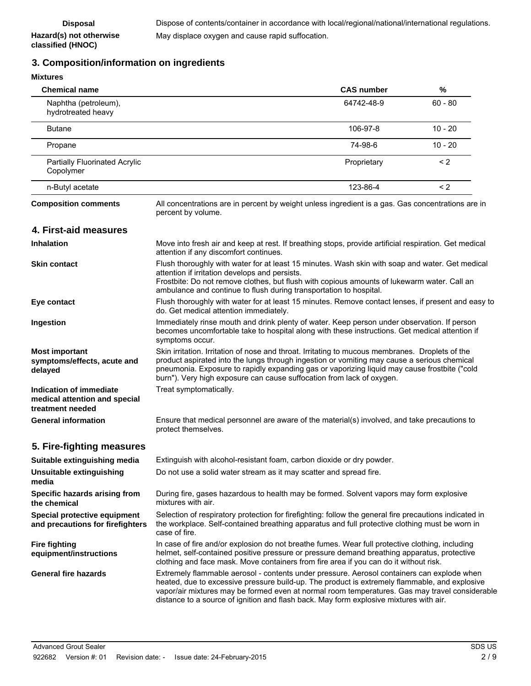## **3. Composition/information on ingredients**

**Hazard(s) not otherwise classified (HNOC)**

| <b>Mixtures</b>                                                              |                                                                                                                                                                                                                                                                                                                                                                                         |                   |           |
|------------------------------------------------------------------------------|-----------------------------------------------------------------------------------------------------------------------------------------------------------------------------------------------------------------------------------------------------------------------------------------------------------------------------------------------------------------------------------------|-------------------|-----------|
| <b>Chemical name</b>                                                         |                                                                                                                                                                                                                                                                                                                                                                                         | <b>CAS number</b> | %         |
| Naphtha (petroleum),<br>hydrotreated heavy                                   |                                                                                                                                                                                                                                                                                                                                                                                         | 64742-48-9        | $60 - 80$ |
| <b>Butane</b>                                                                |                                                                                                                                                                                                                                                                                                                                                                                         | 106-97-8          | $10 - 20$ |
| Propane                                                                      |                                                                                                                                                                                                                                                                                                                                                                                         | 74-98-6           | $10 - 20$ |
| <b>Partially Fluorinated Acrylic</b><br>Copolymer                            |                                                                                                                                                                                                                                                                                                                                                                                         | Proprietary       | $\leq$ 2  |
| n-Butyl acetate                                                              |                                                                                                                                                                                                                                                                                                                                                                                         | 123-86-4          | < 2       |
| <b>Composition comments</b>                                                  | All concentrations are in percent by weight unless ingredient is a gas. Gas concentrations are in<br>percent by volume.                                                                                                                                                                                                                                                                 |                   |           |
| 4. First-aid measures                                                        |                                                                                                                                                                                                                                                                                                                                                                                         |                   |           |
| <b>Inhalation</b>                                                            | Move into fresh air and keep at rest. If breathing stops, provide artificial respiration. Get medical<br>attention if any discomfort continues.                                                                                                                                                                                                                                         |                   |           |
| <b>Skin contact</b>                                                          | Flush thoroughly with water for at least 15 minutes. Wash skin with soap and water. Get medical<br>attention if irritation develops and persists.<br>Frostbite: Do not remove clothes, but flush with copious amounts of lukewarm water. Call an<br>ambulance and continue to flush during transportation to hospital.                                                                  |                   |           |
| Eye contact                                                                  | Flush thoroughly with water for at least 15 minutes. Remove contact lenses, if present and easy to<br>do. Get medical attention immediately.                                                                                                                                                                                                                                            |                   |           |
| Ingestion                                                                    | Immediately rinse mouth and drink plenty of water. Keep person under observation. If person<br>becomes uncomfortable take to hospital along with these instructions. Get medical attention if<br>symptoms occur.                                                                                                                                                                        |                   |           |
| <b>Most important</b><br>symptoms/effects, acute and<br>delayed              | Skin irritation. Irritation of nose and throat. Irritating to mucous membranes. Droplets of the<br>product aspirated into the lungs through ingestion or vomiting may cause a serious chemical<br>pneumonia. Exposure to rapidly expanding gas or vaporizing liquid may cause frostbite ("cold<br>burn"). Very high exposure can cause suffocation from lack of oxygen.                 |                   |           |
| Indication of immediate<br>medical attention and special<br>treatment needed | Treat symptomatically.                                                                                                                                                                                                                                                                                                                                                                  |                   |           |
| <b>General information</b>                                                   | Ensure that medical personnel are aware of the material(s) involved, and take precautions to<br>protect themselves.                                                                                                                                                                                                                                                                     |                   |           |
| 5. Fire-fighting measures                                                    |                                                                                                                                                                                                                                                                                                                                                                                         |                   |           |
| Suitable extinguishing media                                                 | Extinguish with alcohol-resistant foam, carbon dioxide or dry powder.                                                                                                                                                                                                                                                                                                                   |                   |           |
| Unsuitable extinguishing<br>media                                            | Do not use a solid water stream as it may scatter and spread fire.                                                                                                                                                                                                                                                                                                                      |                   |           |
| Specific hazards arising from<br>the chemical                                | During fire, gases hazardous to health may be formed. Solvent vapors may form explosive<br>mixtures with air.                                                                                                                                                                                                                                                                           |                   |           |
| Special protective equipment<br>and precautions for firefighters             | Selection of respiratory protection for firefighting: follow the general fire precautions indicated in<br>the workplace. Self-contained breathing apparatus and full protective clothing must be worn in<br>case of fire.                                                                                                                                                               |                   |           |
| <b>Fire fighting</b><br>equipment/instructions                               | In case of fire and/or explosion do not breathe fumes. Wear full protective clothing, including<br>helmet, self-contained positive pressure or pressure demand breathing apparatus, protective<br>clothing and face mask. Move containers from fire area if you can do it without risk.                                                                                                 |                   |           |
| <b>General fire hazards</b>                                                  | Extremely flammable aerosol - contents under pressure. Aerosol containers can explode when<br>heated, due to excessive pressure build-up. The product is extremely flammable, and explosive<br>vapor/air mixtures may be formed even at normal room temperatures. Gas may travel considerable<br>distance to a source of ignition and flash back. May form explosive mixtures with air. |                   |           |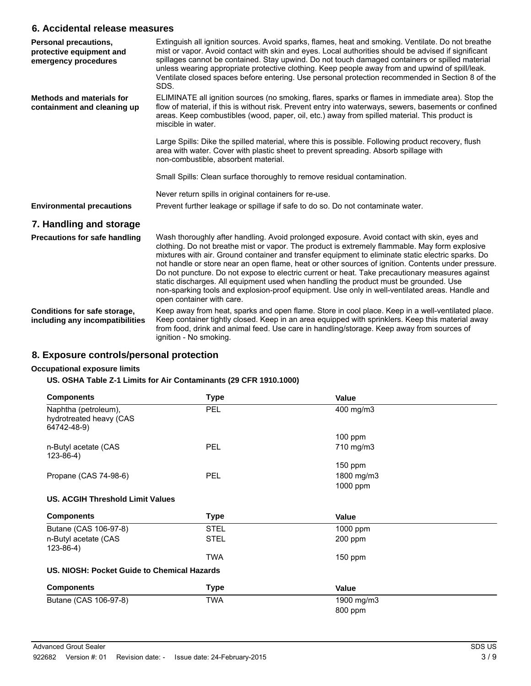### **6. Accidental release measures**

| Personal precautions,<br>protective equipment and<br>emergency procedures | Extinguish all ignition sources. Avoid sparks, flames, heat and smoking. Ventilate. Do not breathe<br>mist or vapor. Avoid contact with skin and eyes. Local authorities should be advised if significant<br>spillages cannot be contained. Stay upwind. Do not touch damaged containers or spilled material<br>unless wearing appropriate protective clothing. Keep people away from and upwind of spill/leak.<br>Ventilate closed spaces before entering. Use personal protection recommended in Section 8 of the<br>SDS.                                                                                                                                                                                                            |
|---------------------------------------------------------------------------|----------------------------------------------------------------------------------------------------------------------------------------------------------------------------------------------------------------------------------------------------------------------------------------------------------------------------------------------------------------------------------------------------------------------------------------------------------------------------------------------------------------------------------------------------------------------------------------------------------------------------------------------------------------------------------------------------------------------------------------|
| Methods and materials for<br>containment and cleaning up                  | ELIMINATE all ignition sources (no smoking, flares, sparks or flames in immediate area). Stop the<br>flow of material, if this is without risk. Prevent entry into waterways, sewers, basements or confined<br>areas. Keep combustibles (wood, paper, oil, etc.) away from spilled material. This product is<br>miscible in water.                                                                                                                                                                                                                                                                                                                                                                                                     |
|                                                                           | Large Spills: Dike the spilled material, where this is possible. Following product recovery, flush<br>area with water. Cover with plastic sheet to prevent spreading. Absorb spillage with<br>non-combustible, absorbent material.                                                                                                                                                                                                                                                                                                                                                                                                                                                                                                     |
|                                                                           | Small Spills: Clean surface thoroughly to remove residual contamination.                                                                                                                                                                                                                                                                                                                                                                                                                                                                                                                                                                                                                                                               |
|                                                                           | Never return spills in original containers for re-use.                                                                                                                                                                                                                                                                                                                                                                                                                                                                                                                                                                                                                                                                                 |
| <b>Environmental precautions</b>                                          | Prevent further leakage or spillage if safe to do so. Do not contaminate water.                                                                                                                                                                                                                                                                                                                                                                                                                                                                                                                                                                                                                                                        |
| 7. Handling and storage                                                   |                                                                                                                                                                                                                                                                                                                                                                                                                                                                                                                                                                                                                                                                                                                                        |
| <b>Precautions for safe handling</b>                                      | Wash thoroughly after handling. Avoid prolonged exposure. Avoid contact with skin, eyes and<br>clothing. Do not breathe mist or vapor. The product is extremely flammable. May form explosive<br>mixtures with air. Ground container and transfer equipment to eliminate static electric sparks. Do<br>not handle or store near an open flame, heat or other sources of ignition. Contents under pressure.<br>Do not puncture. Do not expose to electric current or heat. Take precautionary measures against<br>static discharges. All equipment used when handling the product must be grounded. Use<br>non-sparking tools and explosion-proof equipment. Use only in well-ventilated areas. Handle and<br>open container with care. |
| Conditions for safe storage,<br>including any incompatibilities           | Keep away from heat, sparks and open flame. Store in cool place. Keep in a well-ventilated place.<br>Keep container tightly closed. Keep in an area equipped with sprinklers. Keep this material away<br>from food, drink and animal feed. Use care in handling/storage. Keep away from sources of<br>ignition - No smoking.                                                                                                                                                                                                                                                                                                                                                                                                           |

## **8. Exposure controls/personal protection**

#### **Occupational exposure limits**

#### **US. OSHA Table Z-1 Limits for Air Contaminants (29 CFR 1910.1000)**

| <b>Components</b>                                              | <b>Type</b> | Value      |  |
|----------------------------------------------------------------|-------------|------------|--|
| Naphtha (petroleum),<br>hydrotreated heavy (CAS<br>64742-48-9) | <b>PEL</b>  | 400 mg/m3  |  |
|                                                                |             | $100$ ppm  |  |
| n-Butyl acetate (CAS<br>$123 - 86 - 4$                         | <b>PEL</b>  | 710 mg/m3  |  |
|                                                                |             | $150$ ppm  |  |
| Propane (CAS 74-98-6)                                          | <b>PEL</b>  | 1800 mg/m3 |  |
|                                                                |             | 1000 ppm   |  |
| <b>US. ACGIH Threshold Limit Values</b>                        |             |            |  |
| <b>Components</b>                                              | <b>Type</b> | Value      |  |
| Butane (CAS 106-97-8)                                          | <b>STEL</b> | 1000 ppm   |  |
| n-Butyl acetate (CAS<br>123-86-4)                              | <b>STEL</b> | 200 ppm    |  |
|                                                                | TWA         | $150$ ppm  |  |
| US. NIOSH: Pocket Guide to Chemical Hazards                    |             |            |  |
| <b>Components</b>                                              | <b>Type</b> | Value      |  |
| Butane (CAS 106-97-8)                                          | TWA         | 1900 mg/m3 |  |
|                                                                |             | 800 ppm    |  |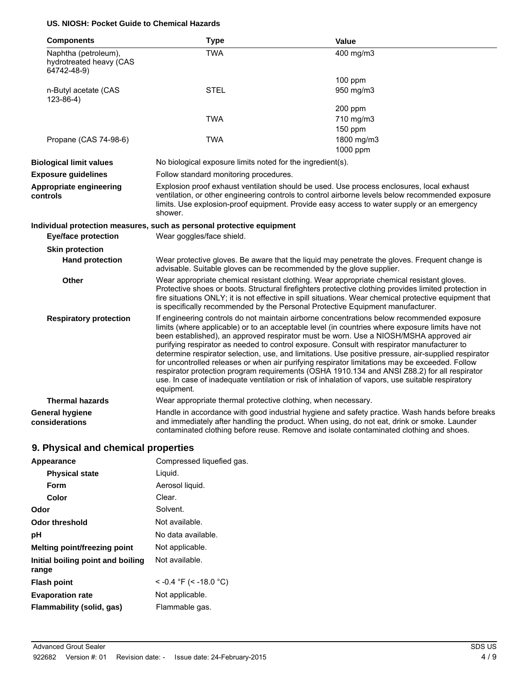#### **US. NIOSH: Pocket Guide to Chemical Hazards**

| <b>Components</b>                                              | <b>Type</b>                                                                                                                                                                                                                                                                                                                                                                                                                                                                                                                                                                                                                                                                                                                                                                                                        | <b>Value</b>                                                                                  |
|----------------------------------------------------------------|--------------------------------------------------------------------------------------------------------------------------------------------------------------------------------------------------------------------------------------------------------------------------------------------------------------------------------------------------------------------------------------------------------------------------------------------------------------------------------------------------------------------------------------------------------------------------------------------------------------------------------------------------------------------------------------------------------------------------------------------------------------------------------------------------------------------|-----------------------------------------------------------------------------------------------|
| Naphtha (petroleum),<br>hydrotreated heavy (CAS<br>64742-48-9) | <b>TWA</b>                                                                                                                                                                                                                                                                                                                                                                                                                                                                                                                                                                                                                                                                                                                                                                                                         | 400 mg/m3                                                                                     |
|                                                                |                                                                                                                                                                                                                                                                                                                                                                                                                                                                                                                                                                                                                                                                                                                                                                                                                    | $100$ ppm                                                                                     |
| n-Butyl acetate (CAS<br>$123-86-4)$                            | <b>STEL</b>                                                                                                                                                                                                                                                                                                                                                                                                                                                                                                                                                                                                                                                                                                                                                                                                        | 950 mg/m3                                                                                     |
|                                                                |                                                                                                                                                                                                                                                                                                                                                                                                                                                                                                                                                                                                                                                                                                                                                                                                                    | 200 ppm                                                                                       |
|                                                                | <b>TWA</b>                                                                                                                                                                                                                                                                                                                                                                                                                                                                                                                                                                                                                                                                                                                                                                                                         | 710 mg/m3                                                                                     |
|                                                                |                                                                                                                                                                                                                                                                                                                                                                                                                                                                                                                                                                                                                                                                                                                                                                                                                    | $150$ ppm                                                                                     |
| Propane (CAS 74-98-6)                                          | <b>TWA</b>                                                                                                                                                                                                                                                                                                                                                                                                                                                                                                                                                                                                                                                                                                                                                                                                         | 1800 mg/m3                                                                                    |
|                                                                |                                                                                                                                                                                                                                                                                                                                                                                                                                                                                                                                                                                                                                                                                                                                                                                                                    | 1000 ppm                                                                                      |
| <b>Biological limit values</b>                                 | No biological exposure limits noted for the ingredient(s).                                                                                                                                                                                                                                                                                                                                                                                                                                                                                                                                                                                                                                                                                                                                                         |                                                                                               |
| <b>Exposure guidelines</b>                                     | Follow standard monitoring procedures.                                                                                                                                                                                                                                                                                                                                                                                                                                                                                                                                                                                                                                                                                                                                                                             |                                                                                               |
| Appropriate engineering<br>controls                            | Explosion proof exhaust ventilation should be used. Use process enclosures, local exhaust<br>ventilation, or other engineering controls to control airborne levels below recommended exposure<br>limits. Use explosion-proof equipment. Provide easy access to water supply or an emergency<br>shower.                                                                                                                                                                                                                                                                                                                                                                                                                                                                                                             |                                                                                               |
|                                                                | Individual protection measures, such as personal protective equipment                                                                                                                                                                                                                                                                                                                                                                                                                                                                                                                                                                                                                                                                                                                                              |                                                                                               |
| <b>Eye/face protection</b>                                     | Wear goggles/face shield.                                                                                                                                                                                                                                                                                                                                                                                                                                                                                                                                                                                                                                                                                                                                                                                          |                                                                                               |
| <b>Skin protection</b>                                         |                                                                                                                                                                                                                                                                                                                                                                                                                                                                                                                                                                                                                                                                                                                                                                                                                    |                                                                                               |
| <b>Hand protection</b>                                         | advisable. Suitable gloves can be recommended by the glove supplier.                                                                                                                                                                                                                                                                                                                                                                                                                                                                                                                                                                                                                                                                                                                                               | Wear protective gloves. Be aware that the liquid may penetrate the gloves. Frequent change is |
| <b>Other</b>                                                   | Wear appropriate chemical resistant clothing. Wear appropriate chemical resistant gloves.<br>Protective shoes or boots. Structural firefighters protective clothing provides limited protection in<br>fire situations ONLY; it is not effective in spill situations. Wear chemical protective equipment that<br>is specifically recommended by the Personal Protective Equipment manufacturer.                                                                                                                                                                                                                                                                                                                                                                                                                     |                                                                                               |
| <b>Respiratory protection</b>                                  | If engineering controls do not maintain airborne concentrations below recommended exposure<br>limits (where applicable) or to an acceptable level (in countries where exposure limits have not<br>been established), an approved respirator must be worn. Use a NIOSH/MSHA approved air<br>purifying respirator as needed to control exposure. Consult with respirator manufacturer to<br>determine respirator selection, use, and limitations. Use positive pressure, air-supplied respirator<br>for uncontrolled releases or when air purifying respirator limitations may be exceeded. Follow<br>respirator protection program requirements (OSHA 1910.134 and ANSI Z88.2) for all respirator<br>use. In case of inadequate ventilation or risk of inhalation of vapors, use suitable respiratory<br>equipment. |                                                                                               |
| <b>Thermal hazards</b>                                         | Wear appropriate thermal protective clothing, when necessary.                                                                                                                                                                                                                                                                                                                                                                                                                                                                                                                                                                                                                                                                                                                                                      |                                                                                               |
| General hygiene<br>considerations                              | Handle in accordance with good industrial hygiene and safety practice. Wash hands before breaks<br>and immediately after handling the product. When using, do not eat, drink or smoke. Launder<br>contaminated clothing before reuse. Remove and isolate contaminated clothing and shoes.                                                                                                                                                                                                                                                                                                                                                                                                                                                                                                                          |                                                                                               |

## **9. Physical and chemical properties**

| Appearance                                 | Compressed liquefied gas. |
|--------------------------------------------|---------------------------|
| <b>Physical state</b>                      | Liquid.                   |
| Form                                       | Aerosol liquid.           |
| Color                                      | Clear.                    |
| Odor                                       | Solvent.                  |
| Odor threshold                             | Not available.            |
| рH                                         | No data available.        |
| Melting point/freezing point               | Not applicable.           |
| Initial boiling point and boiling<br>range | Not available.            |
| <b>Flash point</b>                         | $<$ -0.4 °F (< -18.0 °C)  |
| <b>Evaporation rate</b>                    | Not applicable.           |
| Flammability (solid, gas)                  | Flammable gas.            |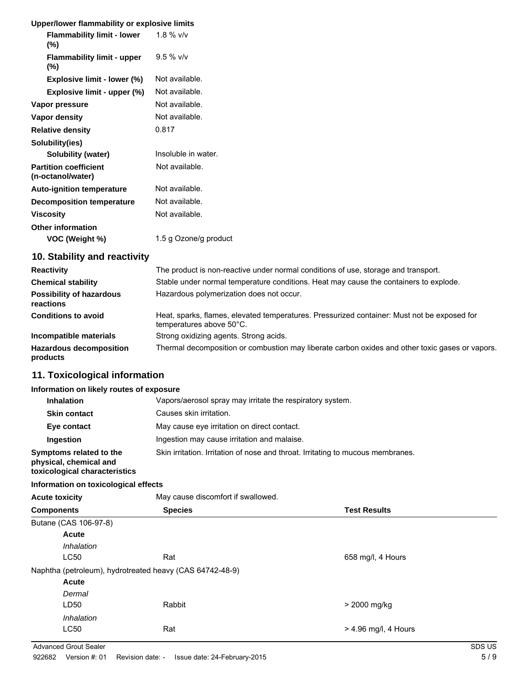| Upper/lower flammability or explosive limits      |                       |
|---------------------------------------------------|-----------------------|
| <b>Flammability limit - lower</b><br>$(\%)$       | 1.8 $%$ v/v           |
| <b>Flammability limit - upper</b><br>$(\%)$       | $9.5 \%$ v/v          |
| Explosive limit - lower (%)                       | Not available.        |
| Explosive limit - upper (%)                       | Not available.        |
| Vapor pressure                                    | Not available.        |
| Vapor density                                     | Not available.        |
| <b>Relative density</b>                           | 0.817                 |
| Solubility(ies)                                   |                       |
| Solubility (water)                                | Insoluble in water.   |
| <b>Partition coefficient</b><br>(n-octanol/water) | Not available.        |
| <b>Auto-ignition temperature</b>                  | Not available.        |
| <b>Decomposition temperature</b>                  | Not available.        |
| <b>Viscosity</b>                                  | Not available.        |
| <b>Other information</b><br>VOC (Weight %)        | 1.5 g Ozone/g product |
| 10 Stability and reactivity                       |                       |

#### **10. Stability and reactivity**

| <b>Reactivity</b>                            | The product is non-reactive under normal conditions of use, storage and transport.                                      |
|----------------------------------------------|-------------------------------------------------------------------------------------------------------------------------|
| <b>Chemical stability</b>                    | Stable under normal temperature conditions. Heat may cause the containers to explode.                                   |
| <b>Possibility of hazardous</b><br>reactions | Hazardous polymerization does not occur.                                                                                |
| <b>Conditions to avoid</b>                   | Heat, sparks, flames, elevated temperatures. Pressurized container: Must not be exposed for<br>temperatures above 50°C. |
| Incompatible materials                       | Strong oxidizing agents. Strong acids.                                                                                  |
| <b>Hazardous decomposition</b><br>products   | Thermal decomposition or combustion may liberate carbon oxides and other toxic gases or vapors.                         |

## **11. Toxicological information**

### **Information on likely routes of exposure**

| <b>Inhalation</b>                                                                  | Vapors/aerosol spray may irritate the respiratory system.                       |  |  |
|------------------------------------------------------------------------------------|---------------------------------------------------------------------------------|--|--|
| <b>Skin contact</b>                                                                | Causes skin irritation.                                                         |  |  |
| Eye contact                                                                        | May cause eye irritation on direct contact.                                     |  |  |
| Ingestion                                                                          | Ingestion may cause irritation and malaise.                                     |  |  |
| Symptoms related to the<br>physical, chemical and<br>toxicological characteristics | Skin irritation. Irritation of nose and throat. Irritating to mucous membranes. |  |  |

#### **Information on toxicological effects**

| , , , , , , , , , , , , , , , , |                                                          |                        |
|---------------------------------|----------------------------------------------------------|------------------------|
| <b>Components</b>               | <b>Species</b>                                           | <b>Test Results</b>    |
| Butane (CAS 106-97-8)           |                                                          |                        |
| Acute                           |                                                          |                        |
| Inhalation                      |                                                          |                        |
| LC50                            | Rat                                                      | 658 mg/l, 4 Hours      |
|                                 | Naphtha (petroleum), hydrotreated heavy (CAS 64742-48-9) |                        |
| Acute                           |                                                          |                        |
| Dermal                          |                                                          |                        |
| LD50                            | Rabbit                                                   | > 2000 mg/kg           |
| Inhalation                      |                                                          |                        |
| LC50                            | Rat                                                      | $>$ 4.96 mg/l, 4 Hours |
|                                 |                                                          |                        |

**Acute toxicity** May cause discomfort if swallowed

Advanced Grout Sealer SDS US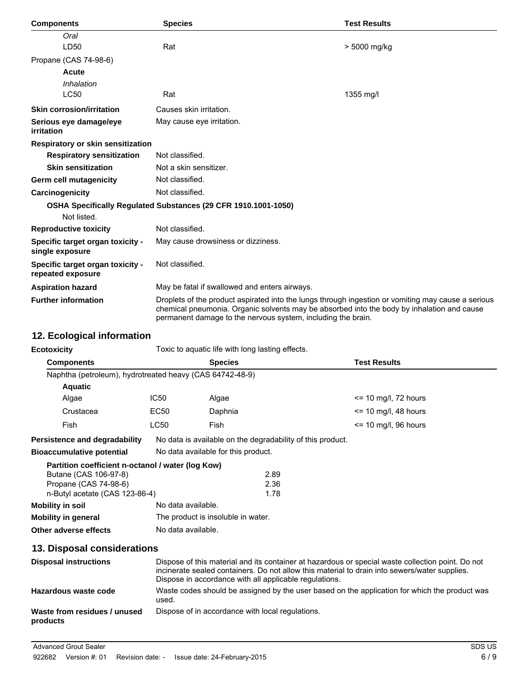| <b>Components</b>                                     | <b>Species</b>                                                                                                                                                                                                                                                   | <b>Test Results</b> |
|-------------------------------------------------------|------------------------------------------------------------------------------------------------------------------------------------------------------------------------------------------------------------------------------------------------------------------|---------------------|
| Oral                                                  |                                                                                                                                                                                                                                                                  |                     |
| LD50                                                  | Rat                                                                                                                                                                                                                                                              | > 5000 mg/kg        |
| Propane (CAS 74-98-6)                                 |                                                                                                                                                                                                                                                                  |                     |
| Acute                                                 |                                                                                                                                                                                                                                                                  |                     |
| Inhalation                                            |                                                                                                                                                                                                                                                                  |                     |
| <b>LC50</b>                                           | Rat                                                                                                                                                                                                                                                              | 1355 mg/l           |
| <b>Skin corrosion/irritation</b>                      | Causes skin irritation.                                                                                                                                                                                                                                          |                     |
| Serious eye damage/eye<br>irritation                  | May cause eye irritation.                                                                                                                                                                                                                                        |                     |
| <b>Respiratory or skin sensitization</b>              |                                                                                                                                                                                                                                                                  |                     |
| <b>Respiratory sensitization</b>                      | Not classified.                                                                                                                                                                                                                                                  |                     |
| <b>Skin sensitization</b>                             | Not a skin sensitizer.                                                                                                                                                                                                                                           |                     |
| Germ cell mutagenicity                                | Not classified.                                                                                                                                                                                                                                                  |                     |
| Carcinogenicity                                       | Not classified.                                                                                                                                                                                                                                                  |                     |
|                                                       | OSHA Specifically Regulated Substances (29 CFR 1910.1001-1050)                                                                                                                                                                                                   |                     |
| Not listed.                                           |                                                                                                                                                                                                                                                                  |                     |
| <b>Reproductive toxicity</b>                          | Not classified.                                                                                                                                                                                                                                                  |                     |
| Specific target organ toxicity -<br>single exposure   | May cause drowsiness or dizziness.                                                                                                                                                                                                                               |                     |
| Specific target organ toxicity -<br>repeated exposure | Not classified.                                                                                                                                                                                                                                                  |                     |
| <b>Aspiration hazard</b>                              | May be fatal if swallowed and enters airways.                                                                                                                                                                                                                    |                     |
| <b>Further information</b>                            | Droplets of the product aspirated into the lungs through ingestion or vomiting may cause a serious<br>chemical pneumonia. Organic solvents may be absorbed into the body by inhalation and cause<br>permanent damage to the nervous system, including the brain. |                     |

## **12. Ecological information**

| <b>Ecotoxicity</b>                                                                                                                    | Toxic to aguatic life with long lasting effects.                                                                                                                                                                                                             |                                     |                      |                         |
|---------------------------------------------------------------------------------------------------------------------------------------|--------------------------------------------------------------------------------------------------------------------------------------------------------------------------------------------------------------------------------------------------------------|-------------------------------------|----------------------|-------------------------|
| <b>Components</b>                                                                                                                     | <b>Species</b>                                                                                                                                                                                                                                               |                                     |                      | <b>Test Results</b>     |
| Naphtha (petroleum), hydrotreated heavy (CAS 64742-48-9)                                                                              |                                                                                                                                                                                                                                                              |                                     |                      |                         |
| <b>Aquatic</b>                                                                                                                        |                                                                                                                                                                                                                                                              |                                     |                      |                         |
| Algae                                                                                                                                 | IC50                                                                                                                                                                                                                                                         | Algae                               |                      | $\le$ 10 mg/l, 72 hours |
| Crustacea                                                                                                                             | EC50                                                                                                                                                                                                                                                         | Daphnia                             |                      | $\le$ 10 mg/l, 48 hours |
| <b>Fish</b>                                                                                                                           | <b>LC50</b>                                                                                                                                                                                                                                                  | Fish                                |                      | $\le$ 10 mg/l, 96 hours |
| <b>Persistence and degradability</b>                                                                                                  | No data is available on the degradability of this product.                                                                                                                                                                                                   |                                     |                      |                         |
| <b>Bioaccumulative potential</b>                                                                                                      |                                                                                                                                                                                                                                                              | No data available for this product. |                      |                         |
| Partition coefficient n-octanol / water (log Kow)<br>Butane (CAS 106-97-8)<br>Propane (CAS 74-98-6)<br>n-Butyl acetate (CAS 123-86-4) |                                                                                                                                                                                                                                                              |                                     | 2.89<br>2.36<br>1.78 |                         |
| <b>Mobility in soil</b>                                                                                                               | No data available.                                                                                                                                                                                                                                           |                                     |                      |                         |
| <b>Mobility in general</b>                                                                                                            | The product is insoluble in water.                                                                                                                                                                                                                           |                                     |                      |                         |
| Other adverse effects                                                                                                                 | No data available.                                                                                                                                                                                                                                           |                                     |                      |                         |
| 13. Disposal considerations                                                                                                           |                                                                                                                                                                                                                                                              |                                     |                      |                         |
| <b>Disposal instructions</b>                                                                                                          | Dispose of this material and its container at hazardous or special waste collection point. Do not<br>incinerate sealed containers. Do not allow this material to drain into sewers/water supplies.<br>Dispose in accordance with all applicable regulations. |                                     |                      |                         |
| Hazardous waste code                                                                                                                  | Waste codes should be assigned by the user based on the application for which the product was<br>used.                                                                                                                                                       |                                     |                      |                         |
| Waste from residues / unused<br>products                                                                                              | Dispose of in accordance with local regulations.                                                                                                                                                                                                             |                                     |                      |                         |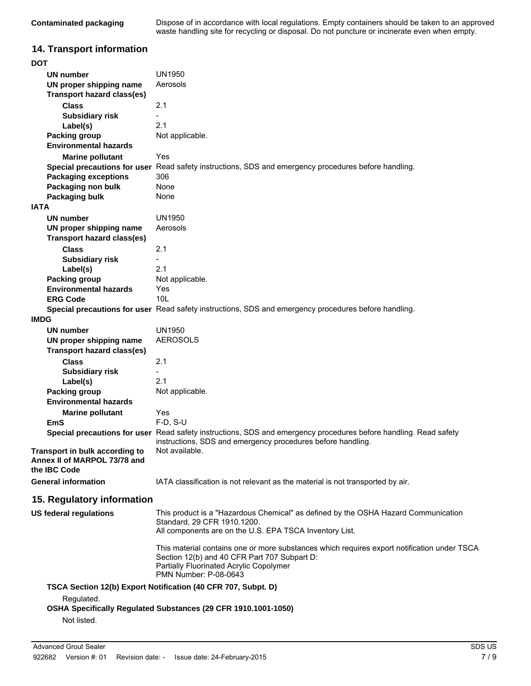| Contaminated packaging | Dispose of in accordance with local regulations. Empty containers should be taken to an approved |
|------------------------|--------------------------------------------------------------------------------------------------|
|                        | waste handling site for recycling or disposal. Do not puncture or incinerate even when empty.    |

## **14. Transport information**

| <b>DOT</b>                            |                                                                                                                  |
|---------------------------------------|------------------------------------------------------------------------------------------------------------------|
| UN number                             | <b>UN1950</b>                                                                                                    |
| UN proper shipping name               | Aerosols                                                                                                         |
| <b>Transport hazard class(es)</b>     |                                                                                                                  |
| <b>Class</b>                          | 2.1                                                                                                              |
| <b>Subsidiary risk</b>                |                                                                                                                  |
| Label(s)                              | 2.1                                                                                                              |
| <b>Packing group</b>                  | Not applicable.                                                                                                  |
| <b>Environmental hazards</b>          |                                                                                                                  |
| <b>Marine pollutant</b>               | Yes                                                                                                              |
| Special precautions for user          | Read safety instructions, SDS and emergency procedures before handling.                                          |
| <b>Packaging exceptions</b>           | 306                                                                                                              |
| Packaging non bulk                    | None                                                                                                             |
| Packaging bulk                        | None                                                                                                             |
| <b>IATA</b>                           |                                                                                                                  |
| UN number                             | UN1950                                                                                                           |
| UN proper shipping name               | Aerosols                                                                                                         |
| <b>Transport hazard class(es)</b>     |                                                                                                                  |
| <b>Class</b>                          | 2.1                                                                                                              |
|                                       | $\frac{1}{2}$                                                                                                    |
| <b>Subsidiary risk</b>                | 2.1                                                                                                              |
| Label(s)<br>Packing group             | Not applicable.                                                                                                  |
| <b>Environmental hazards</b>          | Yes                                                                                                              |
| <b>ERG Code</b>                       | 10 <sub>L</sub>                                                                                                  |
|                                       | Special precautions for user Read safety instructions, SDS and emergency procedures before handling.             |
| <b>IMDG</b>                           |                                                                                                                  |
| UN number                             | <b>UN1950</b>                                                                                                    |
| UN proper shipping name               | <b>AEROSOLS</b>                                                                                                  |
| Transport hazard class(es)            |                                                                                                                  |
| <b>Class</b>                          | 2.1                                                                                                              |
|                                       |                                                                                                                  |
| <b>Subsidiary risk</b>                | 2.1                                                                                                              |
| Label(s)<br>Packing group             | Not applicable.                                                                                                  |
| <b>Environmental hazards</b>          |                                                                                                                  |
|                                       | Yes                                                                                                              |
| <b>Marine pollutant</b><br><b>EmS</b> | $F-D, S-U$                                                                                                       |
|                                       | Special precautions for user Read safety instructions, SDS and emergency procedures before handling. Read safety |
|                                       | instructions, SDS and emergency procedures before handling.                                                      |
| Transport in bulk according to        | Not available.                                                                                                   |
| Annex II of MARPOL 73/78 and          |                                                                                                                  |
| the IBC Code                          |                                                                                                                  |
| <b>General information</b>            | IATA classification is not relevant as the material is not transported by air.                                   |
|                                       |                                                                                                                  |
| 15. Regulatory information            |                                                                                                                  |
| <b>US federal regulations</b>         | This product is a "Hazardous Chemical" as defined by the OSHA Hazard Communication                               |
|                                       | Standard, 29 CFR 1910.1200.                                                                                      |
|                                       | All components are on the U.S. EPA TSCA Inventory List.                                                          |
|                                       | This material contains one or more substances which requires export notification under TSCA                      |
|                                       | Section 12(b) and 40 CFR Part 707 Subpart D:                                                                     |
|                                       | Partially Fluorinated Acrylic Copolymer                                                                          |
|                                       | PMN Number: P-08-0643                                                                                            |
|                                       | TSCA Section 12(b) Export Notification (40 CFR 707, Subpt. D)                                                    |
| Regulated.                            |                                                                                                                  |
|                                       | OSHA Specifically Regulated Substances (29 CFR 1910.1001-1050)                                                   |
| Not listed.                           |                                                                                                                  |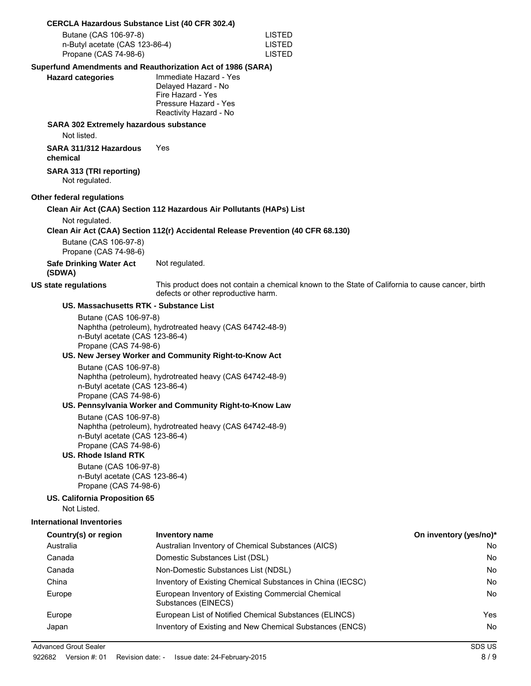#### **CERCLA Hazardous Substance List (40 CFR 302.4)**

| Butane (CAS 106-97-8)          | LISTED |
|--------------------------------|--------|
| n-Butyl acetate (CAS 123-86-4) | LISTED |
| Propane (CAS 74-98-6)          | LISTED |

#### **Superfund Amendments and Reauthorization Act of 1986 (SARA)**

| <b>Hazard categories</b> | Immediate Hazard - Yes |
|--------------------------|------------------------|
|                          | Delayed Hazard - No    |
|                          | Fire Hazard - Yes      |
|                          | Pressure Hazard - Yes  |
|                          | Reactivity Hazard - No |

#### **SARA 302 Extremely hazardous substance**

Not listed.

**SARA 311/312 Hazardous chemical** Yes

**SARA 313 (TRI reporting)** Not regulated.

#### **Other federal regulations**

#### **Clean Air Act (CAA) Section 112 Hazardous Air Pollutants (HAPs) List**

Not regulated.

#### **Clean Air Act (CAA) Section 112(r) Accidental Release Prevention (40 CFR 68.130)**

Butane (CAS 106-97-8) Propane (CAS 74-98-6) **Safe Drinking Water Act**

Not regulated.

#### **(SDWA)**

**US state regulations** This product does not contain a chemical known to the State of California to cause cancer, birth defects or other reproductive harm.

#### **US. Massachusetts RTK - Substance List**

Butane (CAS 106-97-8) Naphtha (petroleum), hydrotreated heavy (CAS 64742-48-9) n-Butyl acetate (CAS 123-86-4) Propane (CAS 74-98-6)

#### **US. New Jersey Worker and Community Right-to-Know Act**

Butane (CAS 106-97-8) Naphtha (petroleum), hydrotreated heavy (CAS 64742-48-9) n-Butyl acetate (CAS 123-86-4) Propane (CAS 74-98-6)

#### **US. Pennsylvania Worker and Community Right-to-Know Law**

Butane (CAS 106-97-8) Naphtha (petroleum), hydrotreated heavy (CAS 64742-48-9) n-Butyl acetate (CAS 123-86-4) Propane (CAS 74-98-6)

#### **US. Rhode Island RTK**

Butane (CAS 106-97-8) n-Butyl acetate (CAS 123-86-4) Propane (CAS 74-98-6)

#### **US. California Proposition 65**

Not Listed.

#### **International Inventories**

| Country(s) or region | <b>Inventory name</b>                                                     | On inventory (yes/no)* |
|----------------------|---------------------------------------------------------------------------|------------------------|
| Australia            | Australian Inventory of Chemical Substances (AICS)                        | No                     |
| Canada               | Domestic Substances List (DSL)                                            | <b>No</b>              |
| Canada               | Non-Domestic Substances List (NDSL)                                       | No                     |
| China                | Inventory of Existing Chemical Substances in China (IECSC)                | No                     |
| Europe               | European Inventory of Existing Commercial Chemical<br>Substances (EINECS) | No                     |
| Europe               | European List of Notified Chemical Substances (ELINCS)                    | Yes                    |
| Japan                | Inventory of Existing and New Chemical Substances (ENCS)                  | <b>No</b>              |